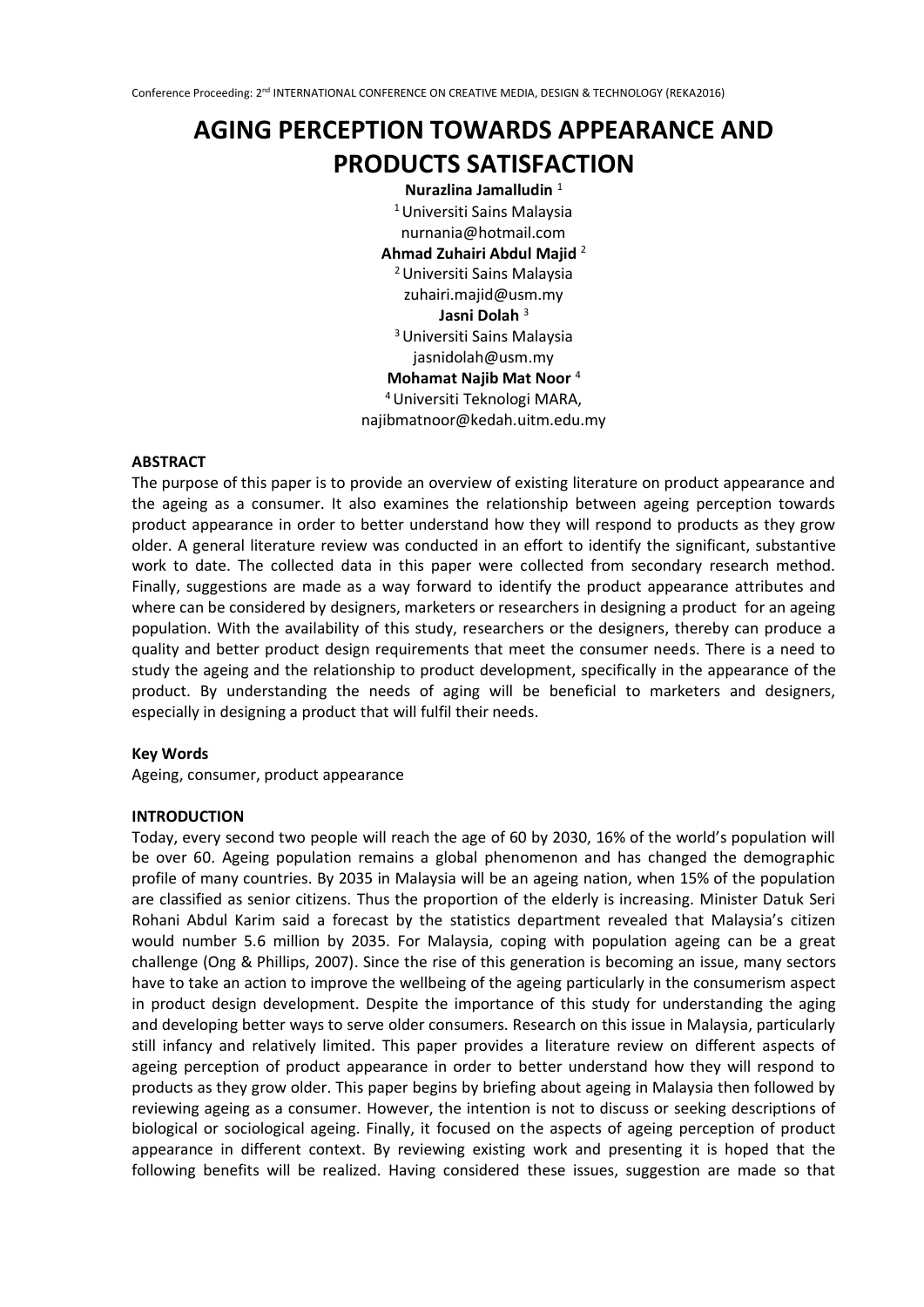# **AGING PERCEPTION TOWARDS APPEARANCE AND PRODUCTS SATISFACTION**

**Nurazlina Jamalludin** <sup>1</sup> <sup>1</sup>Universiti Sains Malaysia nurnania@hotmail.com **Ahmad Zuhairi Abdul Majid** <sup>2</sup> <sup>2</sup>Universiti Sains Malaysia zuhairi.majid@usm.my **Jasni Dolah** <sup>3</sup> <sup>3</sup>Universiti Sains Malaysia jasnidolah@usm.my **Mohamat Najib Mat Noor** <sup>4</sup> <sup>4</sup>Universiti Teknologi MARA, najibmatnoor@kedah.uitm.edu.my

#### **ABSTRACT**

The purpose of this paper is to provide an overview of existing literature on product appearance and the ageing as a consumer. It also examines the relationship between ageing perception towards product appearance in order to better understand how they will respond to products as they grow older. A general literature review was conducted in an effort to identify the significant, substantive work to date. The collected data in this paper were collected from secondary research method. Finally, suggestions are made as a way forward to identify the product appearance attributes and where can be considered by designers, marketers or researchers in designing a product for an ageing population. With the availability of this study, researchers or the designers, thereby can produce a quality and better product design requirements that meet the consumer needs. There is a need to study the ageing and the relationship to product development, specifically in the appearance of the product. By understanding the needs of aging will be beneficial to marketers and designers, especially in designing a product that will fulfil their needs.

#### **Key Words**

Ageing, consumer, product appearance

### **INTRODUCTION**

Today, every second two people will reach the age of 60 by 2030, 16% of the world's population will be over 60. Ageing population remains a global phenomenon and has changed the demographic profile of many countries. By 2035 in Malaysia will be an ageing nation, when 15% of the population are classified as senior citizens. Thus the proportion of the elderly is increasing. Minister Datuk Seri Rohani Abdul Karim said a forecast by the statistics department revealed that Malaysia's citizen would number 5.6 million by 2035. For Malaysia, coping with population ageing can be a great challenge (Ong & Phillips, 2007). Since the rise of this generation is becoming an issue, many sectors have to take an action to improve the wellbeing of the ageing particularly in the consumerism aspect in product design development. Despite the importance of this study for understanding the aging and developing better ways to serve older consumers. Research on this issue in Malaysia, particularly still infancy and relatively limited. This paper provides a literature review on different aspects of ageing perception of product appearance in order to better understand how they will respond to products as they grow older. This paper begins by briefing about ageing in Malaysia then followed by reviewing ageing as a consumer. However, the intention is not to discuss or seeking descriptions of biological or sociological ageing. Finally, it focused on the aspects of ageing perception of product appearance in different context. By reviewing existing work and presenting it is hoped that the following benefits will be realized. Having considered these issues, suggestion are made so that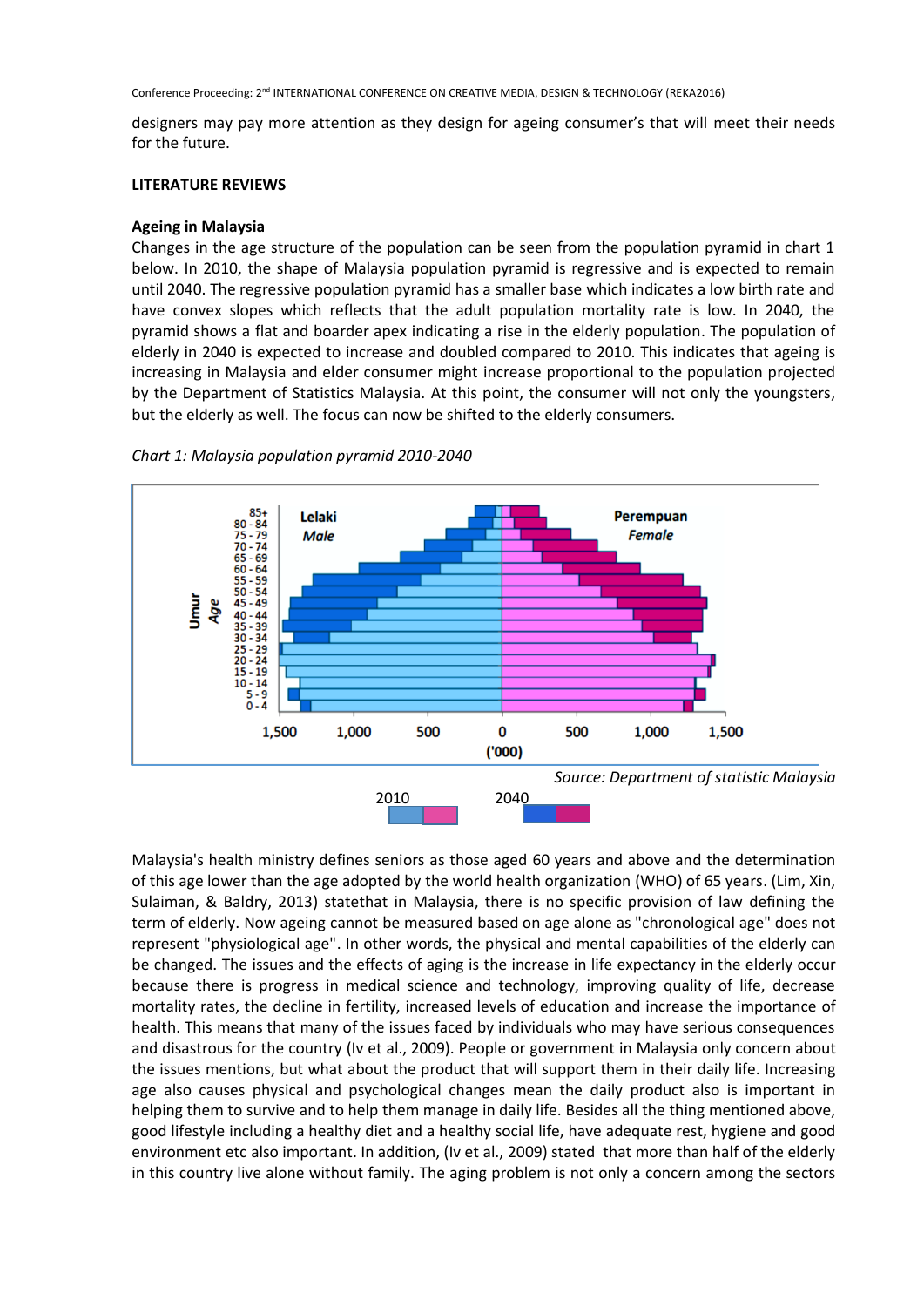Conference Proceeding: 2<sup>nd</sup> INTERNATIONAL CONFERENCE ON CREATIVE MEDIA, DESIGN & TECHNOLOGY (REKA2016)

designers may pay more attention as they design for ageing consumer's that will meet their needs for the future.

#### **LITERATURE REVIEWS**

#### **Ageing in Malaysia**

Changes in the age structure of the population can be seen from the population pyramid in chart 1 below. In 2010, the shape of Malaysia population pyramid is regressive and is expected to remain until 2040. The regressive population pyramid has a smaller base which indicates a low birth rate and have convex slopes which reflects that the adult population mortality rate is low. In 2040, the pyramid shows a flat and boarder apex indicating a rise in the elderly population. The population of elderly in 2040 is expected to increase and doubled compared to 2010. This indicates that ageing is increasing in Malaysia and elder consumer might increase proportional to the population projected by the Department of Statistics Malaysia. At this point, the consumer will not only the youngsters, but the elderly as well. The focus can now be shifted to the elderly consumers.



*Chart 1: Malaysia population pyramid 2010-2040*

Malaysia's health ministry defines seniors as those aged 60 years and above and the determination of this age lower than the age adopted by the world health organization (WHO) of 65 years. (Lim, Xin, Sulaiman, & Baldry, 2013) statethat in Malaysia, there is no specific provision of law defining the term of elderly. Now ageing cannot be measured based on age alone as "chronological age" does not represent "physiological age". In other words, the physical and mental capabilities of the elderly can be changed. The issues and the effects of aging is the increase in life expectancy in the elderly occur because there is progress in medical science and technology, improving quality of life, decrease mortality rates, the decline in fertility, increased levels of education and increase the importance of health. This means that many of the issues faced by individuals who may have serious consequences and disastrous for the country (Iv et al., 2009). People or government in Malaysia only concern about the issues mentions, but what about the product that will support them in their daily life. Increasing age also causes physical and psychological changes mean the daily product also is important in helping them to survive and to help them manage in daily life. Besides all the thing mentioned above, good lifestyle including a healthy diet and a healthy social life, have adequate rest, hygiene and good environment etc also important. In addition, (Iv et al., 2009) stated that more than half of the elderly in this country live alone without family. The aging problem is not only a concern among the sectors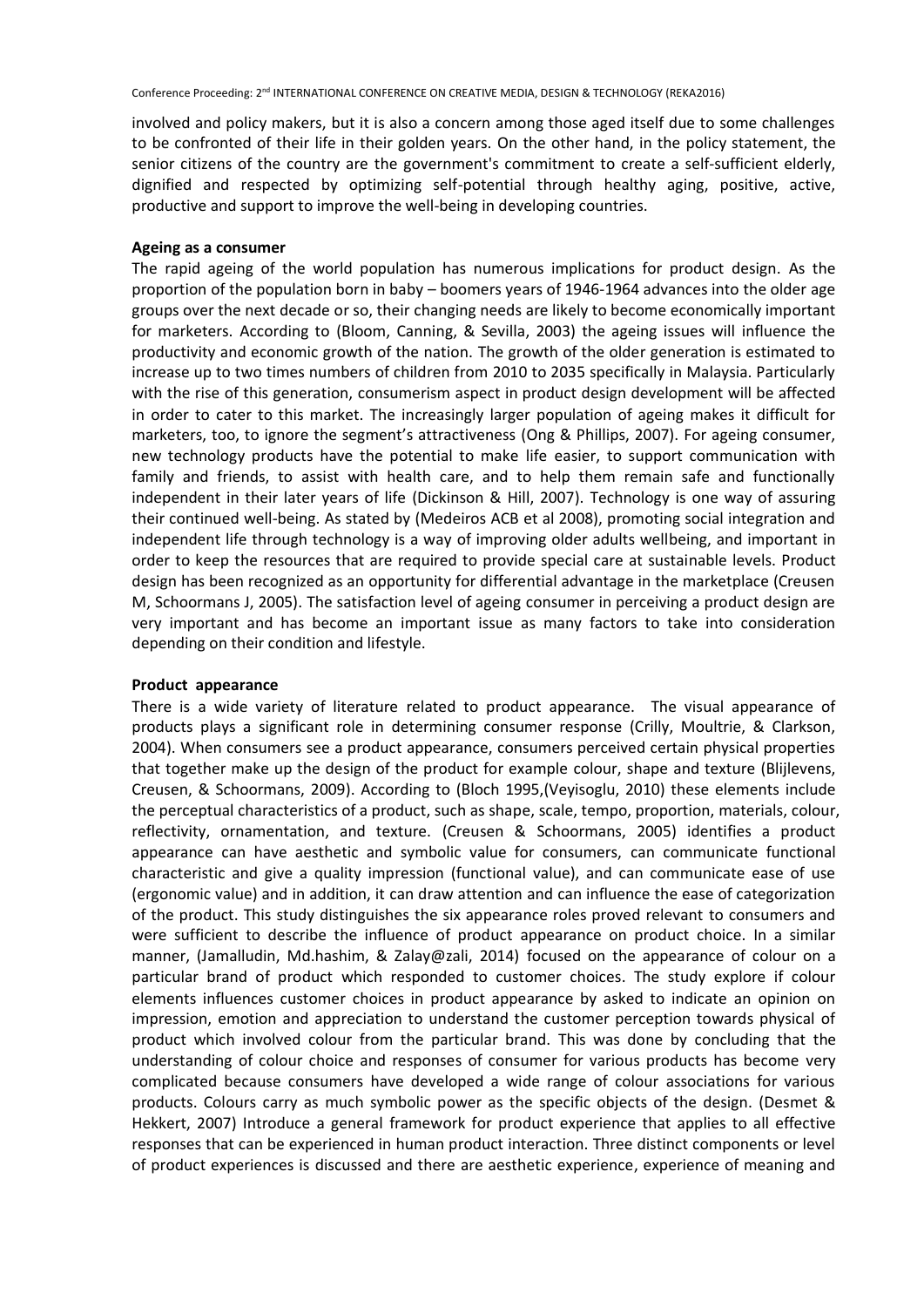involved and policy makers, but it is also a concern among those aged itself due to some challenges to be confronted of their life in their golden years. On the other hand, in the policy statement, the senior citizens of the country are the government's commitment to create a self-sufficient elderly, dignified and respected by optimizing self-potential through healthy aging, positive, active, productive and support to improve the well-being in developing countries.

### **Ageing as a consumer**

The rapid ageing of the world population has numerous implications for product design. As the proportion of the population born in baby – boomers years of 1946-1964 advances into the older age groups over the next decade or so, their changing needs are likely to become economically important for marketers. According to (Bloom, Canning, & Sevilla, 2003) the ageing issues will influence the productivity and economic growth of the nation. The growth of the older generation is estimated to increase up to two times numbers of children from 2010 to 2035 specifically in Malaysia. Particularly with the rise of this generation, consumerism aspect in product design development will be affected in order to cater to this market. The increasingly larger population of ageing makes it difficult for marketers, too, to ignore the segment's attractiveness (Ong & Phillips, 2007). For ageing consumer, new technology products have the potential to make life easier, to support communication with family and friends, to assist with health care, and to help them remain safe and functionally independent in their later years of life (Dickinson & Hill, 2007). Technology is one way of assuring their continued well-being. As stated by (Medeiros ACB et al 2008), promoting social integration and independent life through technology is a way of improving older adults wellbeing, and important in order to keep the resources that are required to provide special care at sustainable levels. Product design has been recognized as an opportunity for differential advantage in the marketplace (Creusen M, Schoormans J, 2005). The satisfaction level of ageing consumer in perceiving a product design are very important and has become an important issue as many factors to take into consideration depending on their condition and lifestyle.

## **Product appearance**

There is a wide variety of literature related to product appearance. The visual appearance of products plays a significant role in determining consumer response (Crilly, Moultrie, & Clarkson, 2004). When consumers see a product appearance, consumers perceived certain physical properties that together make up the design of the product for example colour, shape and texture (Blijlevens, Creusen, & Schoormans, 2009). According to (Bloch 1995,(Veyisoglu, 2010) these elements include the perceptual characteristics of a product, such as shape, scale, tempo, proportion, materials, colour, reflectivity, ornamentation, and texture. (Creusen & Schoormans, 2005) identifies a product appearance can have aesthetic and symbolic value for consumers, can communicate functional characteristic and give a quality impression (functional value), and can communicate ease of use (ergonomic value) and in addition, it can draw attention and can influence the ease of categorization of the product. This study distinguishes the six appearance roles proved relevant to consumers and were sufficient to describe the influence of product appearance on product choice. In a similar manner, (Jamalludin, Md.hashim, & Zalay@zali, 2014) focused on the appearance of colour on a particular brand of product which responded to customer choices. The study explore if colour elements influences customer choices in product appearance by asked to indicate an opinion on impression, emotion and appreciation to understand the customer perception towards physical of product which involved colour from the particular brand. This was done by concluding that the understanding of colour choice and responses of consumer for various products has become very complicated because consumers have developed a wide range of colour associations for various products. Colours carry as much symbolic power as the specific objects of the design. (Desmet & Hekkert, 2007) Introduce a general framework for product experience that applies to all effective responses that can be experienced in human product interaction. Three distinct components or level of product experiences is discussed and there are aesthetic experience, experience of meaning and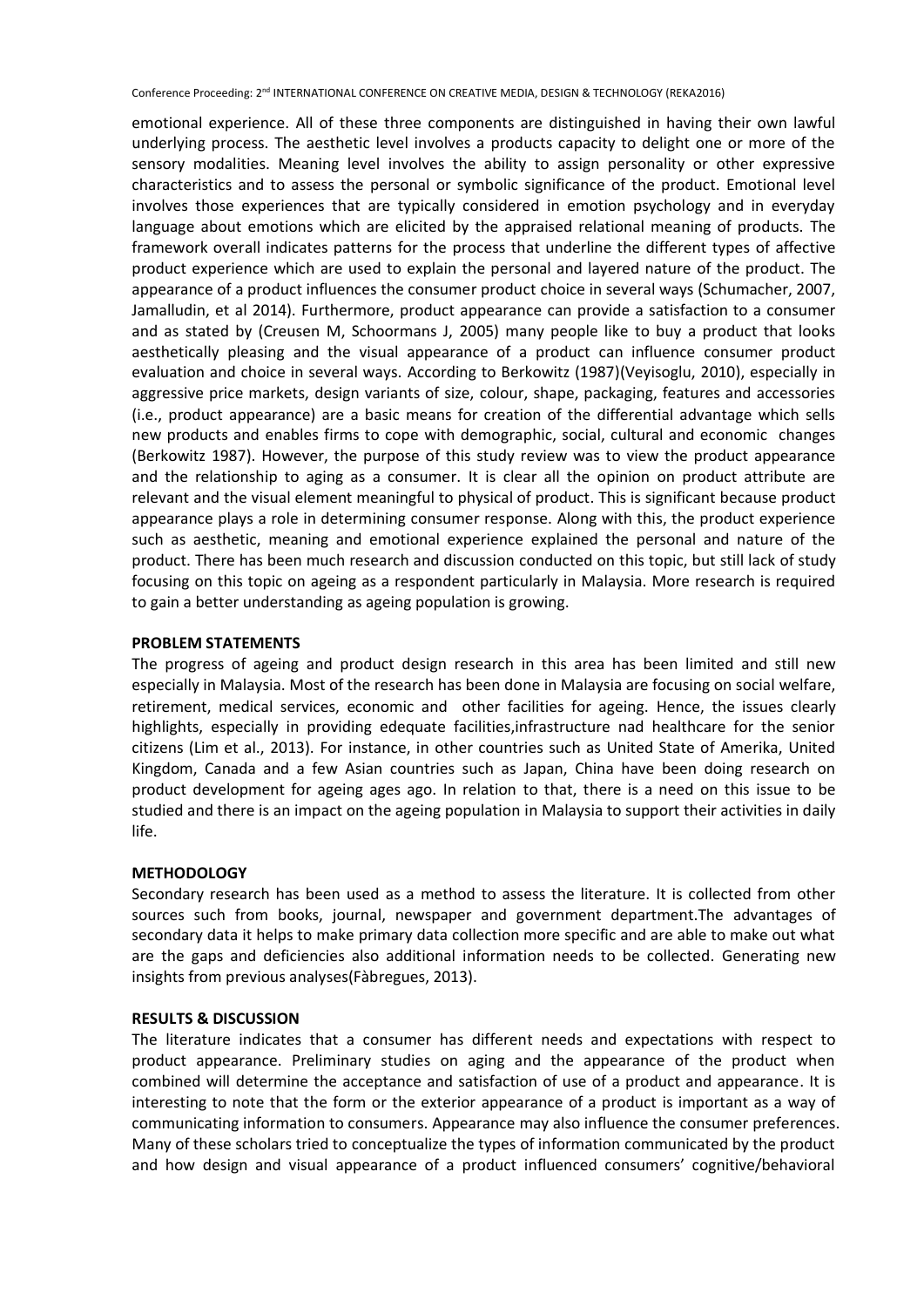Conference Proceeding: 2<sup>nd</sup> INTERNATIONAL CONFERENCE ON CREATIVE MEDIA, DESIGN & TECHNOLOGY (REKA2016)

emotional experience. All of these three components are distinguished in having their own lawful underlying process. The aesthetic level involves a products capacity to delight one or more of the sensory modalities. Meaning level involves the ability to assign personality or other expressive characteristics and to assess the personal or symbolic significance of the product. Emotional level involves those experiences that are typically considered in emotion psychology and in everyday language about emotions which are elicited by the appraised relational meaning of products. The framework overall indicates patterns for the process that underline the different types of affective product experience which are used to explain the personal and layered nature of the product. The appearance of a product influences the consumer product choice in several ways (Schumacher, 2007, Jamalludin, et al 2014). Furthermore, product appearance can provide a satisfaction to a consumer and as stated by (Creusen M, Schoormans J, 2005) many people like to buy a product that looks aesthetically pleasing and the visual appearance of a product can influence consumer product evaluation and choice in several ways. According to Berkowitz (1987)(Veyisoglu, 2010), especially in aggressive price markets, design variants of size, colour, shape, packaging, features and accessories (i.e., product appearance) are a basic means for creation of the differential advantage which sells new products and enables firms to cope with demographic, social, cultural and economic changes (Berkowitz 1987). However, the purpose of this study review was to view the product appearance and the relationship to aging as a consumer. It is clear all the opinion on product attribute are relevant and the visual element meaningful to physical of product. This is significant because product appearance plays a role in determining consumer response. Along with this, the product experience such as aesthetic, meaning and emotional experience explained the personal and nature of the product. There has been much research and discussion conducted on this topic, but still lack of study focusing on this topic on ageing as a respondent particularly in Malaysia. More research is required to gain a better understanding as ageing population is growing.

# **PROBLEM STATEMENTS**

The progress of ageing and product design research in this area has been limited and still new especially in Malaysia. Most of the research has been done in Malaysia are focusing on social welfare, retirement, medical services, economic and other facilities for ageing. Hence, the issues clearly highlights, especially in providing edequate facilities,infrastructure nad healthcare for the senior citizens (Lim et al., 2013). For instance, in other countries such as United State of Amerika, United Kingdom, Canada and a few Asian countries such as Japan, China have been doing research on product development for ageing ages ago. In relation to that, there is a need on this issue to be studied and there is an impact on the ageing population in Malaysia to support their activities in daily life.

## **METHODOLOGY**

Secondary research has been used as a method to assess the literature. It is collected from other sources such from books, journal, newspaper and government department.The advantages of secondary data it helps to make primary data collection more specific and are able to make out what are the gaps and deficiencies also additional information needs to be collected. Generating new insights from previous analyses(Fàbregues, 2013).

## **RESULTS & DISCUSSION**

The literature indicates that a consumer has different needs and expectations with respect to product appearance. Preliminary studies on aging and the appearance of the product when combined will determine the acceptance and satisfaction of use of a product and appearance. It is interesting to note that the form or the exterior appearance of a product is important as a way of communicating information to consumers. Appearance may also influence the consumer preferences. Many of these scholars tried to conceptualize the types of information communicated by the product and how design and visual appearance of a product influenced consumers' cognitive/behavioral